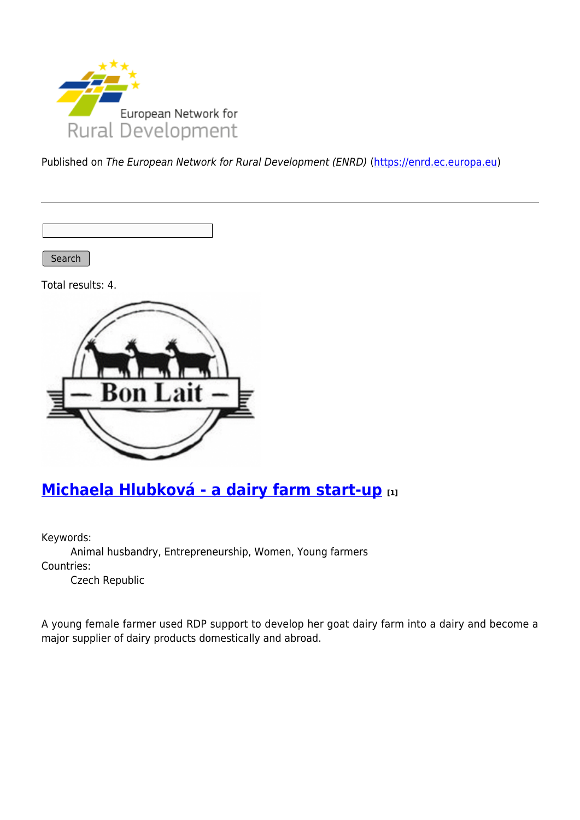

Published on The European Network for Rural Development (ENRD) [\(https://enrd.ec.europa.eu](https://enrd.ec.europa.eu))

Search

Total results: 4.



## **[Michaela Hlubková - a dairy farm start-up](https://enrd.ec.europa.eu/projects-practice/michaela-hlubkova-dairy-farm-start_en) [1]**

Keywords:

Animal husbandry, Entrepreneurship, Women, Young farmers Countries:

Czech Republic

A young female farmer used RDP support to develop her goat dairy farm into a dairy and become a major supplier of dairy products domestically and abroad.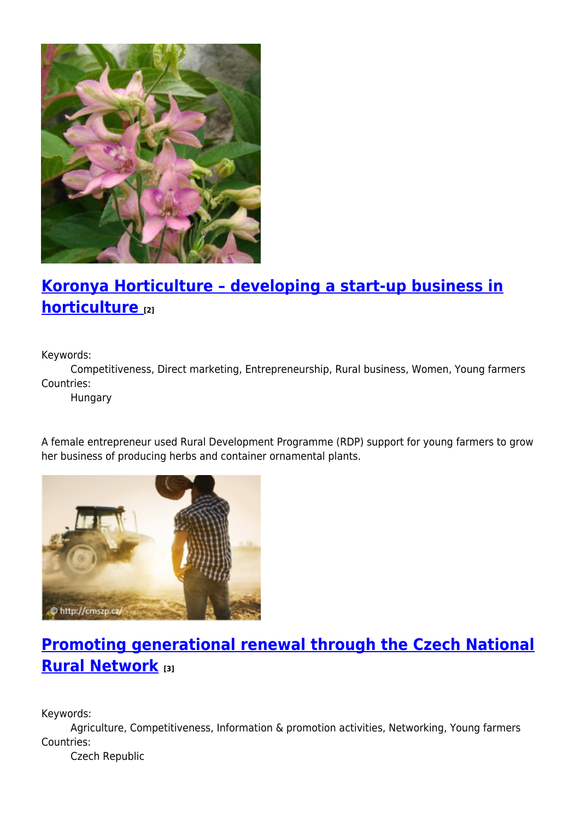

# **[Koronya Horticulture – developing a start-up business in](https://enrd.ec.europa.eu/projects-practice/koronya-horticulture-developing-start-business-horticulture_en) [horticulture](https://enrd.ec.europa.eu/projects-practice/koronya-horticulture-developing-start-business-horticulture_en) [2]**

Keywords:

Competitiveness, Direct marketing, Entrepreneurship, Rural business, Women, Young farmers Countries:

Hungary

A female entrepreneur used Rural Development Programme (RDP) support for young farmers to grow her business of producing herbs and container ornamental plants.



# **[Promoting generational renewal through the Czech National](https://enrd.ec.europa.eu/projects-practice/promoting-generational-renewal-through-czech-national-rural-network_en) [Rural Network](https://enrd.ec.europa.eu/projects-practice/promoting-generational-renewal-through-czech-national-rural-network_en) [3]**

Keywords:

Agriculture, Competitiveness, Information & promotion activities, Networking, Young farmers Countries:

Czech Republic